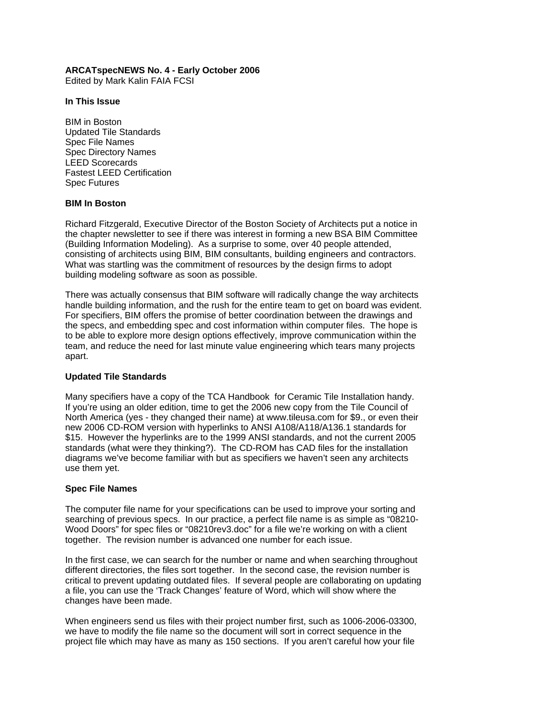## **ARCATspecNEWS No. 4 - Early October 2006**

Edited by Mark Kalin FAIA FCSI

#### **In This Issue**

BIM in Boston Updated Tile Standards Spec File Names Spec Directory Names LEED Scorecards Fastest LEED Certification Spec Futures

### **BIM In Boston**

Richard Fitzgerald, Executive Director of the Boston Society of Architects put a notice in the chapter newsletter to see if there was interest in forming a new BSA BIM Committee (Building Information Modeling). As a surprise to some, over 40 people attended, consisting of architects using BIM, BIM consultants, building engineers and contractors. What was startling was the commitment of resources by the design firms to adopt building modeling software as soon as possible.

There was actually consensus that BIM software will radically change the way architects handle building information, and the rush for the entire team to get on board was evident. For specifiers, BIM offers the promise of better coordination between the drawings and the specs, and embedding spec and cost information within computer files. The hope is to be able to explore more design options effectively, improve communication within the team, and reduce the need for last minute value engineering which tears many projects apart.

### **Updated Tile Standards**

Many specifiers have a copy of the TCA Handbook for Ceramic Tile Installation handy. If you're using an older edition, time to get the 2006 new copy from the Tile Council of North America (yes - they changed their name) at www.tileusa.com for \$9., or even their new 2006 CD-ROM version with hyperlinks to ANSI A108/A118/A136.1 standards for \$15. However the hyperlinks are to the 1999 ANSI standards, and not the current 2005 standards (what were they thinking?). The CD-ROM has CAD files for the installation diagrams we've become familiar with but as specifiers we haven't seen any architects use them yet.

### **Spec File Names**

The computer file name for your specifications can be used to improve your sorting and searching of previous specs. In our practice, a perfect file name is as simple as "08210- Wood Doors" for spec files or "08210rev3.doc" for a file we're working on with a client together. The revision number is advanced one number for each issue.

In the first case, we can search for the number or name and when searching throughout different directories, the files sort together. In the second case, the revision number is critical to prevent updating outdated files. If several people are collaborating on updating a file, you can use the 'Track Changes' feature of Word, which will show where the changes have been made.

When engineers send us files with their project number first, such as 1006-2006-03300, we have to modify the file name so the document will sort in correct sequence in the project file which may have as many as 150 sections. If you aren't careful how your file